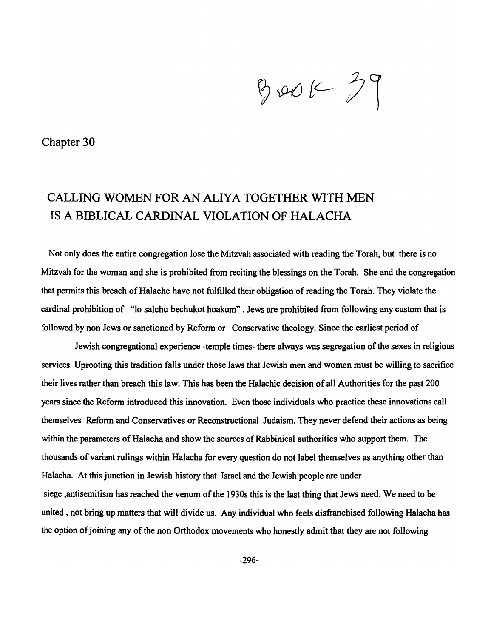$800K^{29}$ 

Chapter 30

## CALLING WOMEN FOR AN ALIYA TOGETHER WITH MEN IS A BIBLICAL CARDINAL VIOLATION OF HALACHA

Not only does the entire congregation lose the Mitzvah associated with reading the Torah, but there is no Mitzvah for the woman and she is prohibited from reciting the blessings on the Torah. She and the congregation that permits this breach of Halache have not fulfilled their obligation of reading the Torah. They violate the cardinal prohibition of "10 salchu bechukot hoakum" . Jews are prohibited from following any custom that is followed by non Jews or sanctioned by Reform or Conservative theology. Since the earliest period of

Jewish congregational experience -temple times- there always was segregation of the sexes in religious services. Uprooting this tradition falls under those laws that Jewish men and women must be willing to sacrifice their lives rather than breach this law. This has been the Halachic decision of all Authorities for the past 200 years since the Reform introduced this innovation. Even those individuals who practice these innovations call themselves Reform and Conservatives or Reconstructional Judaism. They never defend their actions as being within the parameters of Halacha and show the sources of Rabbinical authorities who support them. The thousands of variant rulings within Halacha for every question do not label themselves as anything other than Halacha. At this junction in Jewish history that Israel and the Jewish people are under siege ,antisemitism has reached the venom of the 1930s this is the last thing that Jews need. We need to be united, not bring up matters that will divide us. Any individual who feels disfranchised following Halacha has the option of joining any of the non Orthodox movements who honestly admit that they are not following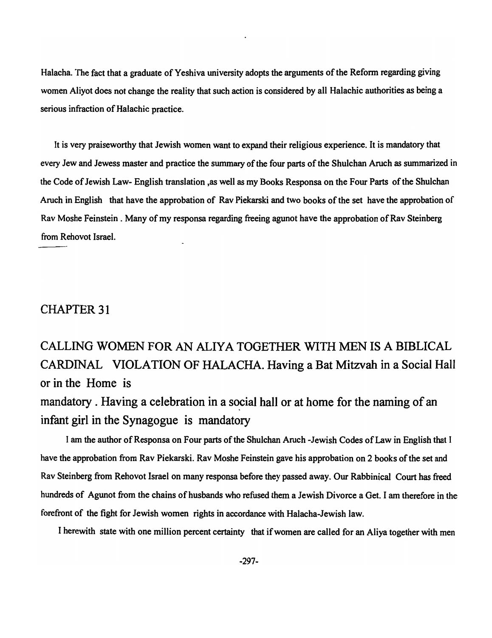Halacha. The fact that a graduate of Yeshiva university adopts the arguments of the Refonn regarding giving women Aliyot does not change the reality that such action is considered by all Halachic authorities as being a serious infraction of Halachic practice.

It is very praiseworthy that Jewish women want to expand their religious experience. It is mandatory that every Jew and Jewess master and practice the summary of the four parts of the Shulchan Aruch as summarized in the Code of Jewish Law- English translation,as well as my Books Responsa on the Four Parts of the Shulchan Aruch in English that have the approbation of Rav Piekarski and two books of the set have the approbation of Rav Moshe Feinstein. Many of my responsa regarding freeing agunot have the approbation of Rav Steinberg from Rehovot Israel.

## CHAPTER 31

## CALLING WOMEN FOR AN ALIYA TOGETHER WITH MEN IS A BIBLICAL CARDINAL VIOLATION OF HALACHA. Having a Bat Mitzvah in a Social Hall or in the Home is

mandatory. Having a celebration in a social hall or at home for the naming of an infant girl in the Synagogue is mandatory

I am the author of Responsa on Four parts of the Shulchan Aruch -Jewish Codes of Law in English that I have the approbation from Rav Piekarski. Rav Moshe Feinstein gave his approbation on 2 books of the set and Rav Steinberg from Rehovot Israel on many responsa before they passed away. Our Rabbinical Court has freed hundreds of Agunot from the chains of husbands who refused them a Jewish Divorce a Get. I am therefore in the forefront of the fight for Jewish women rights in accordance with Halacha-Jewish law.

I herewith state with one million percent certainty that if women are called for an Aliya together with men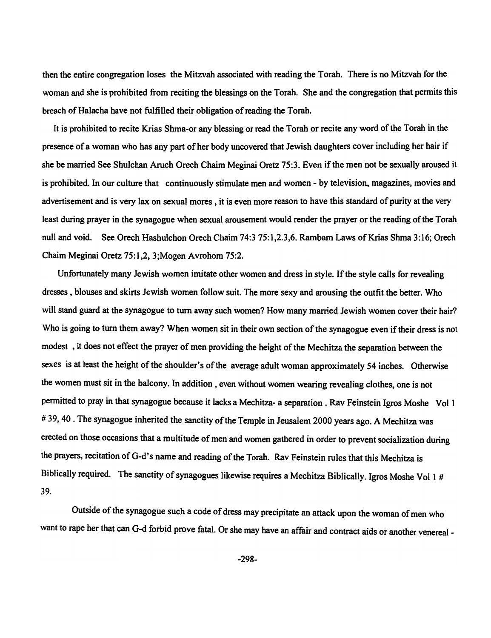then the entire congregation loses the Mitzvah associated with reading the Torah. There is no Mitzvah for the woman and she is prohibited from reciting the blessings on the Torah. She and the congregation that permits this breach of Halacha have not fulfilled their obligation of reading the Torah.

It is prohibited to recite Krias Shma-or any blessing or read the Torah or recite any word of the Torah in the presence of a woman who has any part of her body uncovered that Jewish daughters cover including her hair if she be married See Shulchan Aruch Orech Chaim Meginai Oretz 75:3. Even if the men not be sexually aroused it is prohibited. In our culture that continuously stimulate men and women - by television, magazines, movies and advertisement and is very lax on sexual mores, it is even more reason to have this standard of purity at the very least during prayer in the synagogue when sexual arousement would render the prayer or the reading of the Torah null and void. See Orech Hashulchon Orech Chaim 74:3 75:1,2.3,6. Rambam Laws of Krias Shma 3:16; Orech Chaim Meginai Oretz 75:1,2, 3;Mogen Avrohom 75:2.

Unfortunately many Jewish women imitate other women and dress in style. If the style calls for revealing dresses, blouses and skirts Jewish women follow suit. The more sexy and arousing the outfit the better. Who will stand guard at the synagogue to tum away such women? How many married Jewish women cover their hair? Who is going to tum them away? When women sit in their own section of the synagogue even if their dress is not modest , it does not effect the prayer of men providing the height of the Mechitza the separation between the sexes is at least the height of the shoulder's of the average adult woman approximately 54 inches. Otherwise the women must sit in the balcony. In addition, even without women wearing revealing clothes, one is not pennitted to pray in that synagogue because it lacks a Mechitza- a separation . Rav Feinstein Igros Moshe Vol I # 39, 40. The synagogue inherited the sanctity of the Temple in Jeusalem 2000 years ago. A Mechitza was erected on those occasions that a multitude of men and women gathered in order to prevent socialization during the prayers, recitation of G-d's name and reading of the Torah. Rav Feinstein rules that this Mechitza is Biblically required. The sanctity of synagogues likewise requires a Mechitza Biblically. Igros Moshe Vol 1 # 39.

Outside of the synagogue such a code of dress may precipitate an attack upon the woman of men who want to rape her that can G-d forbid prove fatal. Or she may have an affair and contract aids or another venereal -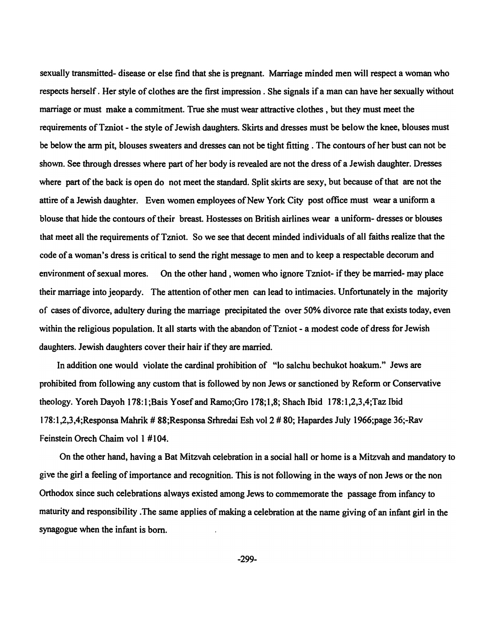sexually transmitted- disease or else find that she is pregnant. Marriage minded men will respect a woman who respects herself. Her style of clothes are the first impression. She signals if a man can have her sexually without marriage or must make a commitment. True she must wear attractive clothes, but they must meet the requirements ofTzniot - the style of Jewish daughters. Skirts and dresses must be below the knee, blouses must be below the arm pit, blouses sweaters and dresses can not be tight fitting. The contours of her bust can not be shown. See through dresses where part of her body is revealed are not the dress of a Jewish daughter. Dresses where part of the back is open do not meet the standard. Split skirts are sexy, but because of that are not the attire of a Jewish daughter. Even women employees of New York City post office must wear a uniform a blouse that hide the contours of their breast. Hostesses on British airlines wear a uniform- dresses or blouses that meet all the requirements ofTzniot. So we see that decent minded individuals of all faiths realize that the code of a woman's dress is critical to send the right message to men and to keep a respectable decorum and environment of sexual mores. On the other hand , women who ignore Tzniot- if they be married- may place their marriage into jeopardy. The attention of other men can lead to intimacies. Unfortunately in the majority of cases of divorce, adultery during the marriage precipitated the over 50% divorce rate that exists today, even within the religious population. It all starts with the abandon of Tzniot - a modest code of dress for Jewish daughters. Jewish daughters cover their hair if they are married.

In addition one would violate the cardinal prohibition of "10 salchu bechukot hoakum." Jews are prohibited from following any custom that is followed by non Jews or sanctioned by Reform or Conservative theology. Yoreh Dayoh 178: I ;Bais Yosef and Ramo;Gro 178; I ,8; Shach Ibid 178: I ,2,3,4;Taz Ibid 178: I ,2,3,4;Responsa Mahrik # 88;Responsa Srhredai Esh vol 2 # 80; Hapardes July 1966;page 36;-Rav Feinstein Orech Chaim vol I #104.

On the other hand, having a Bat Mitzvah celebration in a social hall or home is a Mitzvah and mandatory to give the girl a feeling of importance and recognition. This is not following in the ways of non Jews or the non Orthodox since such celebrations always existed among Jews to commemorate the passage from infancy to maturity and responsibility .The same applies of making a celebration at the name giving of an infant girl in the synagogue when the infant is born.

-299-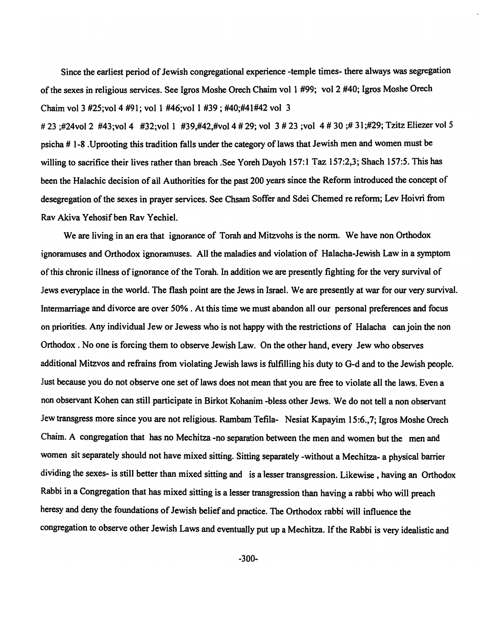Since the earliest period of Jewish congregational experience -temple times- there always was segregation of the sexes in religious services. See Igros Moshe Orech Chaim vol I #99; vol 2 #40; Igros Moshe Orech Chaim vol 3 #25;vol 4 #91; vol 1 #46;vol 1 #39; #40;#41#42 vol 3

# 23 ;#24vol 2 #43;vol 4 #32;vol 1 #39,#42,#vol 4 # 29; vol 3 # 23 ;vol 4 # 30 ;# 31;#29; Tzitz Eliezer vol 5 psicha # 1-8 .Uprooting this tradition falls under the category oflaws that Jewish men and women must be willing to sacrifice their lives rather than breach .See Yoreh Dayoh 157:1 Taz 157:2,3; Shach 157:5. This has been the Halachic decision of all Authorities for the past 200 years since the Reform introduced the concept of desegregation of the sexes in prayer services. See Chsam Soffer and Sdei Chemed re reform; Lev Hoivri from Rav Akiva Yehosif ben Rav Yechiel.

We are living in an era that ignorance of Torah and Mitzvohs is the norm. We have non Orthodox ignoramuses and Orthodox ignoramuses. All the maladies and violation of Halacha-Jewish Law in a symptom of this chronic illness ofignorance of the Torah. In addition we are presently fighting for the very survival of Jews everyplace in the world. The flash point are the Jews in Israel. We are presently at war for our very survival. Intermarriage and divorce are over 50% . At this time we must abandon ail our personal preferences and focus on priorities. Any individual Jew or Jewess who is not happy with the restrictions of Halacha canjoin the non Orthodox. No one is forcing them to observe Jewish Law. On the other hand, every Jew who observes additional Mitzvos and refrains from violating Jewish laws is fulfilling his duty to G-d and to the Jewish people. Just because you do not observe one set of laws does not mean that you are free to violate ail the laws. Even a non observant Kohen can still participate in Birkot Kohanim -bless other Jews. We do not tell a non observant Jew transgress more since you are not religious. Rambam Tefila- Nesiat Kapayim 15:6.,7; Igros Moshe Orech Chaim. A congregation that has no Mechitza -no separation between the men and women but the men and women sit separately should not have mixed sitting. Sitting separately -without a Mechitza- a physical barrier dividing the sexes- is still better than mixed sitting and is a lesser transgression. Likewise, having an Orthodox Rabbi in a Congregation that has mixed sitting is a lesser transgression than having a rabbi who will preach heresy and deny the foundations of Jewish belief and practice. The Orthodox rabbi will influence the congregation to observe other Jewish Laws and eventually put up a Mechitza. If the Rabbi is very idealistic and